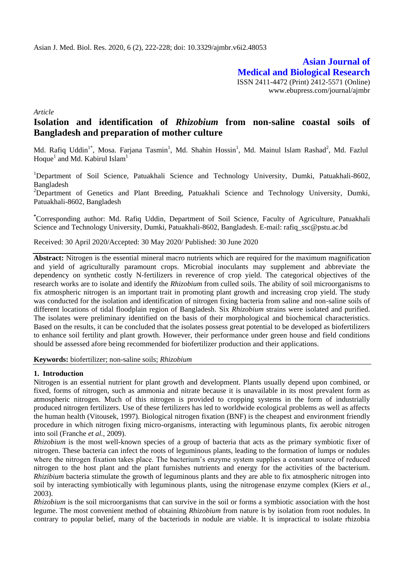**Asian Journal of Medical and Biological Research** ISSN 2411-4472 (Print) 2412-5571 (Online) www.ebupress.com/journal/ajmbr

*Article*

# **Isolation and identification of** *Rhizobium* **from non-saline coastal soils of Bangladesh and preparation of mother culture**

Md. Rafiq Uddin<sup>1\*</sup>, Mosa. Farjana Tasmin<sup>1</sup>, Md. Shahin Hossin<sup>1</sup>, Md. Mainul Islam Rashad<sup>2</sup>, Md. Fazlul Hoque<sup>1</sup> and Md. Kabirul Islam<sup>1</sup>

<sup>1</sup>Department of Soil Science, Patuakhali Science and Technology University, Dumki, Patuakhali-8602, Bangladesh

<sup>2</sup>Department of Genetics and Plant Breeding, Patuakhali Science and Technology University, Dumki, Patuakhali-8602, Bangladesh

**\***Corresponding author: Md. Rafiq Uddin, Department of Soil Science, Faculty of Agriculture, Patuakhali Science and Technology University, Dumki, Patuakhali-8602, Bangladesh. E-mail: rafiq\_ssc@pstu.ac.bd

Received: 30 April 2020/Accepted: 30 May 2020/ Published: 30 June 2020

**Abstract:** Nitrogen is the essential mineral macro nutrients which are required for the maximum magnification and yield of agriculturally paramount crops. Microbial inoculants may supplement and abbreviate the dependency on synthetic costly N-fertilizers in reverence of crop yield. The categorical objectives of the research works are to isolate and identify the *Rhizobium* from culled soils. The ability of soil microorganisms to fix atmospheric nitrogen is an important trait in promoting plant growth and increasing crop yield. The study was conducted for the isolation and identification of nitrogen fixing bacteria from saline and non-saline soils of different locations of tidal floodplain region of Bangladesh. Six *Rhizobium* strains were isolated and purified. The isolates were preliminary identified on the basis of their morphological and biochemical characteristics. Based on the results, it can be concluded that the isolates possess great potential to be developed as biofertilizers to enhance soil fertility and plant growth. However, their performance under green house and field conditions should be assessed afore being recommended for biofertilizer production and their applications.

**Keywords:** biofertilizer; non-saline soils; *Rhizobium*

#### **1. Introduction**

Nitrogen is an essential nutrient for plant growth and development. Plants usually depend upon combined, or fixed, forms of nitrogen, such as ammonia and nitrate because it is unavailable in its most prevalent form as atmospheric nitrogen. Much of this nitrogen is provided to cropping systems in the form of industrially produced nitrogen fertilizers. Use of these fertilizers has led to worldwide ecological problems as well as affects the human health (Vitousek, 1997). Biological nitrogen fixation (BNF) is the cheapest and environment friendly procedure in which nitrogen fixing micro-organisms, interacting with leguminous plants, fix aerobic nitrogen into soil (Franche *et al.,* 2009).

*Rhizobium* is the most well-known species of a group of bacteria that acts as the primary symbiotic fixer of nitrogen. These bacteria can infect the roots of leguminous plants, leading to the formation of lumps or nodules where the nitrogen fixation takes place. The bacterium's enzyme system supplies a constant source of reduced nitrogen to the host plant and the plant furnishes nutrients and energy for the activities of the bacterium. *Rhizibium* bacteria stimulate the growth of leguminous plants and they are able to fix atmospheric nitrogen into soil by interacting symbiotically with leguminous plants, using the nitrogenase enzyme complex (Kiers *et al.,* 2003).

*Rhizobium* is the soil microorganisms that can survive in the soil or forms a symbiotic association with the host legume. The most convenient method of obtaining *Rhizobium* from nature is by isolation from root nodules. In contrary to popular belief, many of the bacteriods in nodule are viable. It is impractical to isolate rhizobia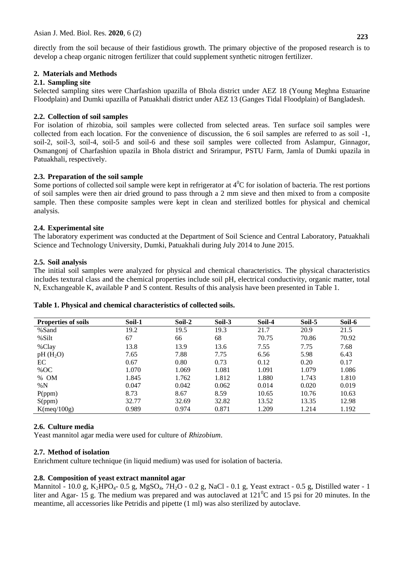directly from the soil because of their fastidious growth. The primary objective of the proposed research is to develop a cheap organic nitrogen fertilizer that could supplement synthetic nitrogen fertilizer.

#### **2. Materials and Methods**

## **2.1. Sampling site**

Selected sampling sites were Charfashion upazilla of Bhola district under AEZ 18 (Young Meghna Estuarine Floodplain) and Dumki upazilla of Patuakhali district under AEZ 13 (Ganges Tidal Floodplain) of Bangladesh.

## **2.2. Collection of soil samples**

For isolation of rhizobia, soil samples were collected from selected areas. Ten surface soil samples were collected from each location. For the convenience of discussion, the 6 soil samples are referred to as soil -1, soil-2, soil-3, soil-4, soil-5 and soil-6 and these soil samples were collected from Aslampur, Ginnagor, Osmangonj of Charfashion upazila in Bhola district and Srirampur, PSTU Farm, Jamla of Dumki upazila in Patuakhali, respectively.

## **2.3. Preparation of the soil sample**

Some portions of collected soil sample were kept in refrigerator at  $4^{\circ}C$  for isolation of bacteria. The rest portions of soil samples were then air dried ground to pass through a 2 mm sieve and then mixed to from a composite sample. Then these composite samples were kept in clean and sterilized bottles for physical and chemical analysis.

## **2.4. Experimental site**

The laboratory experiment was conducted at the Department of Soil Science and Central Laboratory, Patuakhali Science and Technology University, Dumki, Patuakhali during July 2014 to June 2015.

## **2.5. Soil analysis**

The initial soil samples were analyzed for physical and chemical characteristics. The physical characteristics includes textural class and the chemical properties include soil pH, electrical conductivity, organic matter, total N, Exchangeable K, available P and S content. Results of this analysis have been presented in Table 1.

| <b>Properties of soils</b> | Soil-1 | Soil-2 | Soil-3 | Soil-4 | Soil-5 | Soil-6 |
|----------------------------|--------|--------|--------|--------|--------|--------|
| %Sand                      | 19.2   | 19.5   | 19.3   | 21.7   | 20.9   | 21.5   |
| %Silt                      | 67     | 66     | 68     | 70.75  | 70.86  | 70.92  |
| %Clay                      | 13.8   | 13.9   | 13.6   | 7.55   | 7.75   | 7.68   |
| $pH(H_2O)$                 | 7.65   | 7.88   | 7.75   | 6.56   | 5.98   | 6.43   |
| EC                         | 0.67   | 0.80   | 0.73   | 0.12   | 0.20   | 0.17   |
| %OC                        | 1.070  | 1.069  | 1.081  | 1.091  | 1.079  | 1.086  |
| % OM                       | 1.845  | 1.762  | 1.812  | 1.880  | 1.743  | 1.810  |
| %N                         | 0.047  | 0.042  | 0.062  | 0.014  | 0.020  | 0.019  |
| P(ppm)                     | 8.73   | 8.67   | 8.59   | 10.65  | 10.76  | 10.63  |
| S(ppm)                     | 32.77  | 32.69  | 32.82  | 13.52  | 13.35  | 12.98  |
| K(meq/100g)                | 0.989  | 0.974  | 0.871  | 1.209  | 1.214  | 1.192  |

#### **Table 1. Physical and chemical characteristics of collected soils.**

# **2.6. Culture media**

Yeast mannitol agar media were used for culture of *Rhizobium*.

#### **2.7. Method of isolation**

Enrichment culture technique (in liquid medium) was used for isolation of bacteria.

# **2.8. Composition of yeast extract mannitol agar**

Mannitol - 10.0 g,  $K_2HPO_4$ - 0.5 g, MgSO<sub>4</sub>, 7H<sub>2</sub>O - 0.2 g, NaCl - 0.1 g, Yeast extract - 0.5 g, Distilled water - 1 liter and Agar- 15 g. The medium was prepared and was autoclaved at  $121^{\circ}$ C and 15 psi for 20 minutes. In the meantime, all accessories like Petridis and pipette (1 ml) was also sterilized by autoclave.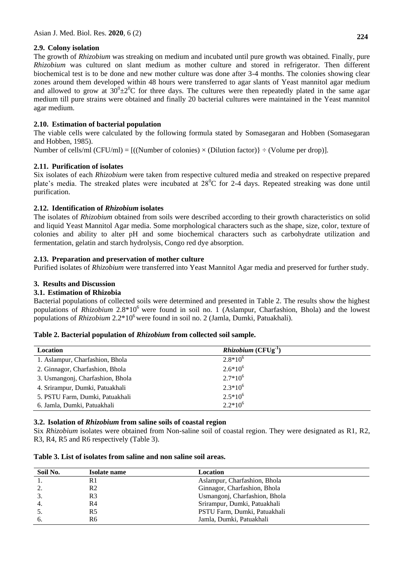# **2.9. Colony isolation**

**224**

The growth of *Rhizobium* was streaking on medium and incubated until pure growth was obtained. Finally, pure *Rhizobium* was cultured on slant medium as mother culture and stored in refrigerator. Then different biochemical test is to be done and new mother culture was done after 3-4 months. The colonies showing clear zones around them developed within 48 hours were transferred to agar slants of Yeast mannitol agar medium and allowed to grow at  $30^0 \pm 2^0$ C for three days. The cultures were then repeatedly plated in the same agar medium till pure strains were obtained and finally 20 bacterial cultures were maintained in the Yeast mannitol agar medium.

# **2.10. Estimation of bacterial population**

The viable cells were calculated by the following formula stated by Somasegaran and Hobben (Somasegaran and Hobben, 1985).

Number of cells/ml (CFU/ml) = [((Number of colonies)  $\times$  (Dilution factor)}  $\div$  (Volume per drop)].

## **2.11. Purification of isolates**

Six isolates of each *Rhizobium* were taken from respective cultured media and streaked on respective prepared plate's media. The streaked plates were incubated at  $28\degree$ C for 2-4 days. Repeated streaking was done until purification.

## **2.12. Identification of** *Rhizobium* **isolates**

The isolates of *Rhizobium* obtained from soils were described according to their growth characteristics on solid and liquid Yeast Mannitol Agar media. Some morphological characters such as the shape, size, color, texture of colonies and ability to alter pH and some biochemical characters such as carbohydrate utilization and fermentation, gelatin and starch hydrolysis, Congo red dye absorption.

## **2.13. Preparation and preservation of mother culture**

Purified isolates of *Rhizobium* were transferred into Yeast Mannitol Agar media and preserved for further study.

#### **3. Results and Discussion**

#### **3.1. Estimation of Rhizobia**

Bacterial populations of collected soils were determined and presented in Table 2. The results show the highest populations of *Rhizobium* 2.8\*10<sup>6</sup> were found in soil no. 1 (Aslampur, Charfashion, Bhola) and the lowest populations of *Rhizobium* 2.2\*10<sup>6</sup> were found in soil no. 2 (Jamla, Dumki, Patuakhali).

#### **Table 2. Bacterial population of** *Rhizobium* **from collected soil sample.**

#### **3.2. Isolation of** *Rhizobium* **from saline soils of coastal region**

Six *Rhizobium* isolates were obtained from Non-saline soil of coastal region. They were designated as R1, R2, R3, R4, R5 and R6 respectively (Table 3).

|  | Table 3. List of isolates from saline and non saline soil areas. |  |
|--|------------------------------------------------------------------|--|
|  |                                                                  |  |

| Soil No. | Isolate name | Location                      |
|----------|--------------|-------------------------------|
|          | R1           | Aslampur, Charfashion, Bhola  |
| ٠.       | R2           | Ginnagor, Charfashion, Bhola  |
|          | R3           | Usmangonj, Charfashion, Bhola |
| 4.       | R4           | Srirampur, Dumki, Patuakhali  |
|          | R5           | PSTU Farm, Dumki, Patuakhali  |
| -6.      | R6           | Jamla, Dumki, Patuakhali      |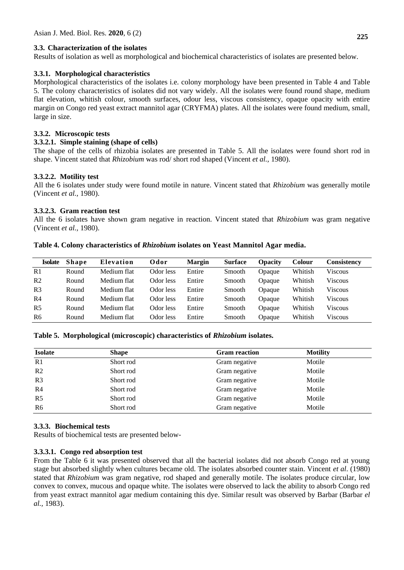## **3.3. Characterization of the isolates**

Results of isolation as well as morphological and biochemical characteristics of isolates are presented below.

#### **3.3.1. Morphological characteristics**

Morphological characteristics of the isolates i.e. colony morphology have been presented in Table 4 and Table 5. The colony characteristics of isolates did not vary widely. All the isolates were found round shape, medium flat elevation, whitish colour, smooth surfaces, odour less, viscous consistency, opaque opacity with entire margin on Congo red yeast extract mannitol agar (CRYFMA) plates. All the isolates were found medium, small, large in size.

#### **3.3.2. Microscopic tests**

#### **3.3.2.1. Simple staining (shape of cells)**

The shape of the cells of rhizobia isolates are presented in Table 5. All the isolates were found short rod in shape. Vincent stated that *Rhizobium* was rod/ short rod shaped (Vincent *et al.,* 1980).

## **3.3.2.2. Motility test**

All the 6 isolates under study were found motile in nature. Vincent stated that *Rhizobium* was generally motile (Vincent *et al.,* 1980).

## **3.3.2.3. Gram reaction test**

All the 6 isolates have shown gram negative in reaction. Vincent stated that *Rhizobium* was gram negative (Vincent *et al.,* 1980).

|  |  | Table 4. Colony characteristics of Rhizobium isolates on Yeast Mannitol Agar media. |  |
|--|--|-------------------------------------------------------------------------------------|--|
|  |  |                                                                                     |  |

| <b>Isolate</b> | <b>Shape</b> | Elevation   | Odor      | <b>Margin</b> | <b>Surface</b> | <b>Opacity</b> | Colour  | <b>Consistency</b> |
|----------------|--------------|-------------|-----------|---------------|----------------|----------------|---------|--------------------|
| R <sub>1</sub> | Round        | Medium flat | Odor less | Entire        | Smooth         | Opaque         | Whitish | <b>Viscous</b>     |
| R <sub>2</sub> | Round        | Medium flat | Odor less | Entire        | Smooth         | Opaque         | Whitish | <b>Viscous</b>     |
| R <sub>3</sub> | Round        | Medium flat | Odor less | Entire        | Smooth         | Opaque         | Whitish | <b>Viscous</b>     |
| R <sub>4</sub> | Round        | Medium flat | Odor less | Entire        | Smooth         | Opaque         | Whitish | <b>Viscous</b>     |
| <b>R5</b>      | Round        | Medium flat | Odor less | Entire        | Smooth         | Opaque         | Whitish | <b>Viscous</b>     |
| R <sub>6</sub> | Round        | Medium flat | Odor less | Entire        | Smooth         | Opaque         | Whitish | <b>Viscous</b>     |

#### **Table 5. Morphological (microscopic) characteristics of** *Rhizobium* **isolates.**

| <b>Isolate</b> | <b>Shape</b> | <b>Gram reaction</b> | <b>Motility</b> |  |
|----------------|--------------|----------------------|-----------------|--|
| R <sub>1</sub> | Short rod    | Gram negative        | Motile          |  |
| R <sub>2</sub> | Short rod    | Gram negative        | Motile          |  |
| R <sub>3</sub> | Short rod    | Gram negative        | Motile          |  |
| R <sub>4</sub> | Short rod    | Gram negative        | Motile          |  |
| R <sub>5</sub> | Short rod    | Gram negative        | Motile          |  |
| R <sub>6</sub> | Short rod    | Gram negative        | Motile          |  |

#### **3.3.3. Biochemical tests**

Results of biochemical tests are presented below-

#### **3.3.3.1. Congo red absorption test**

From the Table 6 it was presented observed that all the bacterial isolates did not absorb Congo red at young stage but absorbed slightly when cultures became old. The isolates absorbed counter stain. Vincent *et al*. (1980) stated that *Rhizobium* was gram negative, rod shaped and generally motile. The isolates produce circular, low convex to convex, mucous and opaque white. The isolates were observed to lack the ability to absorb Congo red from yeast extract mannitol agar medium containing this dye. Similar result was observed by Barbar (Barbar *el al.,* 1983).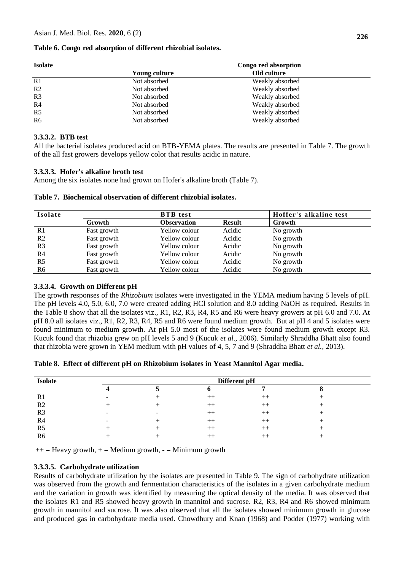#### **Table 6. Congo red absorption of different rhizobial isolates.**

| <b>Isolate</b> |               | Congo red absorption |  |  |  |
|----------------|---------------|----------------------|--|--|--|
|                | Young culture | Old culture          |  |  |  |
| R1             | Not absorbed  | Weakly absorbed      |  |  |  |
| R <sub>2</sub> | Not absorbed  | Weakly absorbed      |  |  |  |
| R <sub>3</sub> | Not absorbed  | Weakly absorbed      |  |  |  |
| R <sub>4</sub> | Not absorbed  | Weakly absorbed      |  |  |  |
| R <sub>5</sub> | Not absorbed  | Weakly absorbed      |  |  |  |
| R <sub>6</sub> | Not absorbed  | Weakly absorbed      |  |  |  |

#### **3.3.3.2. BTB test**

All the bacterial isolates produced acid on BTB-YEMA plates. The results are presented in Table 7. The growth of the all fast growers develops yellow color that results acidic in nature.

#### **3.3.3.3. Hofer's alkaline broth test**

Among the six isolates none had grown on Hofer's alkaline broth (Table 7).

|  |  |  |  | Table 7. Biochemical observation of different rhizobial isolates. |
|--|--|--|--|-------------------------------------------------------------------|
|--|--|--|--|-------------------------------------------------------------------|

| Isolate        | <b>BTB</b> test |               |               | Hoffer's alkaline test |
|----------------|-----------------|---------------|---------------|------------------------|
|                | <b>Growth</b>   | Observation   | <b>Result</b> | Growth                 |
| R1             | Fast growth     | Yellow colour | Acidic        | No growth              |
| R <sub>2</sub> | Fast growth     | Yellow colour | Acidic        | No growth              |
| R <sub>3</sub> | Fast growth     | Yellow colour | Acidic        | No growth              |
| R <sub>4</sub> | Fast growth     | Yellow colour | Acidic        | No growth              |
| R <sub>5</sub> | Fast growth     | Yellow colour | Acidic        | No growth              |
| R6             | Fast growth     | Yellow colour | Acidic        | No growth              |

#### **3.3.3.4. Growth on Different pH**

The growth responses of the *Rhizobium* isolates were investigated in the YEMA medium having 5 levels of pH. The pH levels 4.0, 5.0, 6.0, 7.0 were created adding HCl solution and 8.0 adding NaOH as required. Results in the Table 8 show that all the isolates viz., R1, R2, R3, R4, R5 and R6 were heavy growers at pH 6.0 and 7.0. At pH 8.0 all isolates viz., R1, R2, R3, R4, R5 and R6 were found medium growth. But at pH 4 and 5 isolates were found minimum to medium growth. At pH 5.0 most of the isolates were found medium growth except R3. Kucuk found that rhizobia grew on pH levels 5 and 9 (Kucuk *et al*., 2006). Similarly Shraddha Bhatt also found that rhizobia were grown in YEM medium with pH values of 4, 5, 7 and 9 (Shraddha Bhatt *et al.,* 2013).

**Table 8. Effect of different pH on Rhizobium isolates in Yeast Mannitol Agar media.**

| <b>Isolate</b> | Different pH |         |         |  |  |  |
|----------------|--------------|---------|---------|--|--|--|
|                |              |         |         |  |  |  |
| R.             |              | $++$    | $++$    |  |  |  |
| R <sub>2</sub> |              | $++$    | $++$    |  |  |  |
| R <sub>3</sub> |              | $++$    | $++$    |  |  |  |
| R <sub>4</sub> |              | $^{++}$ | $+ +$   |  |  |  |
| R <sub>5</sub> |              | $^{++}$ | $^{++}$ |  |  |  |
| R <sub>6</sub> |              | $++$    | $^{++}$ |  |  |  |

 $++$  = Heavy growth,  $+$  = Medium growth,  $-$  = Minimum growth

#### **3.3.3.5. Carbohydrate utilization**

Results of carbohydrate utilization by the isolates are presented in Table 9. The sign of carbohydrate utilization was observed from the growth and fermentation characteristics of the isolates in a given carbohydrate medium and the variation in growth was identified by measuring the optical density of the media. It was observed that the isolates R1 and R5 showed heavy growth in mannitol and sucrose. R2, R3, R4 and R6 showed minimum growth in mannitol and sucrose. It was also observed that all the isolates showed minimum growth in glucose and produced gas in carbohydrate media used. Chowdhury and Knan (1968) and Podder (1977) working with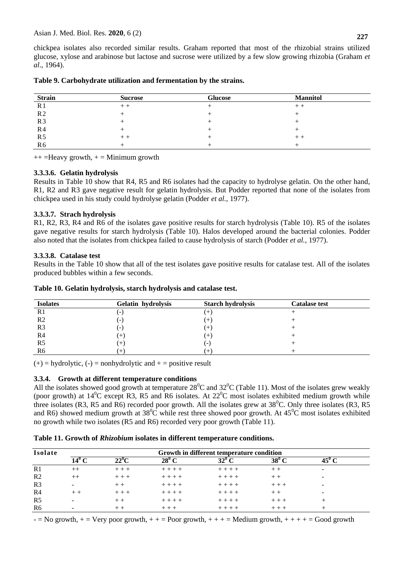chickpea isolates also recorded similar results. Graham reported that most of the rhizobial strains utilized glucose, xylose and arabinose but lactose and sucrose were utilized by a few slow growing rhizobia (Graham *et al*., 1964).

| <b>Strain</b>  | <b>Sucrose</b> | <b>Glucose</b> | <b>Mannitol</b>          |
|----------------|----------------|----------------|--------------------------|
| R <sub>1</sub> | —              |                |                          |
| R <sub>2</sub> |                |                |                          |
| R <sub>3</sub> |                |                |                          |
| R <sub>4</sub> |                |                |                          |
| R <sub>5</sub> | ÷              |                | $\overline{\phantom{0}}$ |
| R6             |                |                |                          |

|  | Table 9. Carbohydrate utilization and fermentation by the strains. |  |  |  |
|--|--------------------------------------------------------------------|--|--|--|
|  |                                                                    |  |  |  |

 $++ =$ Heavy growth,  $+=$  Minimum growth

#### **3.3.3.6. Gelatin hydrolysis**

Results in Table 10 show that R4, R5 and R6 isolates had the capacity to hydrolyse gelatin. On the other hand, R1, R2 and R3 gave negative result for gelatin hydrolysis. But Podder reported that none of the isolates from chickpea used in his study could hydrolyse gelatin (Podder *et al.,* 1977).

#### **3.3.3.7. Strach hydrolysis**

R1, R2, R3, R4 and R6 of the isolates gave positive results for starch hydrolysis (Table 10). R5 of the isolates gave negative results for starch hydrolysis (Table 10). Halos developed around the bacterial colonies. Podder also noted that the isolates from chickpea failed to cause hydrolysis of starch (Podder *et al.,* 1977).

#### **3.3.3.8. Catalase test**

Results in the Table 10 show that all of the test isolates gave positive results for catalase test. All of the isolates produced bubbles within a few seconds.

| <b>Isolates</b> | Gelatin hydrolysis       | <b>Starch hydrolysis</b> | <b>Catalase test</b> |
|-----------------|--------------------------|--------------------------|----------------------|
| R1              | Ξ.                       | . +                      |                      |
| R <sub>2</sub>  | $\overline{\phantom{0}}$ | $+$                      |                      |
| R <sub>3</sub>  | н.                       | $+$                      |                      |
| R <sub>4</sub>  | $^{+}$                   | $+$                      |                      |
| R <sub>5</sub>  | $\div$                   | $\overline{a}$           |                      |
| R <sub>6</sub>  |                          | $+$                      |                      |

#### **Table 10. Gelatin hydrolysis, starch hydrolysis and catalase test.**

 $(+)$  = hydrolytic,  $(-)$  = nonhydrolytic and  $+$  = positive result

#### **3.3.4. Growth at different temperature conditions**

All the isolates showed good growth at temperature  $28^{\circ}$ C and  $32^{\circ}$ C (Table 11). Most of the isolates grew weakly (poor growth) at  $14^{\circ}$ C except R3, R5 and R6 isolates. At  $22^{\circ}$ C most isolates exhibited medium growth while three isolates (R3, R5 and R6) recorded poor growth. All the isolates grew at  $38^{\circ}$ C. Only three isolates (R3, R5 and R6) showed medium growth at  $38^{\circ}$ C while rest three showed poor growth. At  $45^{\circ}$ C most isolates exhibited no growth while two isolates (R5 and R6) recorded very poor growth (Table 11).

| Isolate        | Growth in different temperature condition |                |           |                |          |                          |  |  |
|----------------|-------------------------------------------|----------------|-----------|----------------|----------|--------------------------|--|--|
|                | 14" C                                     | $22^{\circ}$ C | $28^0$ C  | $32^{\circ}$ C | $38^0$ C |                          |  |  |
| R <sub>1</sub> |                                           | $+ + +$        | $+ + + +$ | $+ + + +$      | $+ +$    | $\overline{\phantom{a}}$ |  |  |
| R <sub>2</sub> | $++$                                      | $++$           | $+ + + +$ | $+ + + +$      | $++$     | ۰                        |  |  |
| R <sub>3</sub> | -                                         |                | $+ + + +$ | $+ + + +$      | $+ + +$  | $\overline{\phantom{a}}$ |  |  |
| R <sub>4</sub> |                                           |                | $+ + + +$ | $+ + + +$      | $++$     | ۰                        |  |  |
| R <sub>5</sub> | -                                         |                | $+ + + +$ | $+ + +$        | $+ + +$  | ∸                        |  |  |
| R <sub>6</sub> |                                           |                |           |                |          |                          |  |  |

 $-$  = No growth,  $+$  = Very poor growth,  $+$  + = Poor growth,  $+$  +  $+$  = Medium growth,  $+$  +  $+$  = Good growth